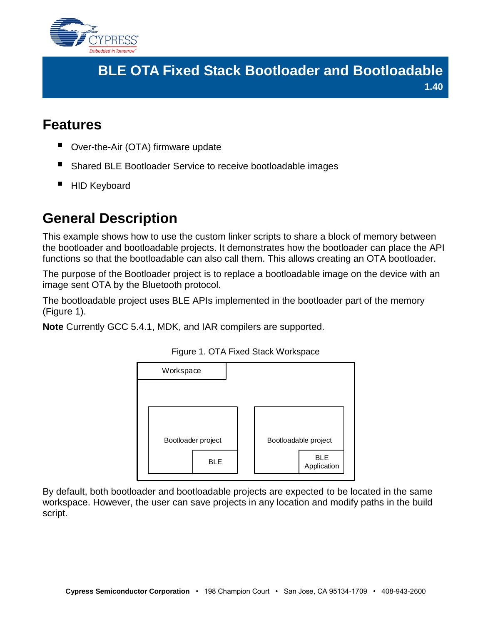

## **BLE OTA Fixed Stack Bootloader and Bootloadable 1.40**

## **Features**

- Over-the-Air (OTA) firmware update
- Shared BLE Bootloader Service to receive bootloadable images
- HID Keyboard

# **General Description**

This example shows how to use the custom linker scripts to share a block of memory between the bootloader and bootloadable projects. It demonstrates how the bootloader can place the API functions so that the bootloadable can also call them. This allows creating an OTA bootloader.

The purpose of the Bootloader project is to replace a bootloadable image on the device with an image sent OTA by the Bluetooth protocol.

The bootloadable project uses BLE APIs implemented in the bootloader part of the memory [\(Figure](#page-0-0) 1).

<span id="page-0-0"></span>**Note** Currently GCC 5.4.1, MDK, and IAR compilers are supported.



#### Figure 1. OTA Fixed Stack Workspace

By default, both bootloader and bootloadable projects are expected to be located in the same workspace. However, the user can save projects in any location and modify paths in the build script.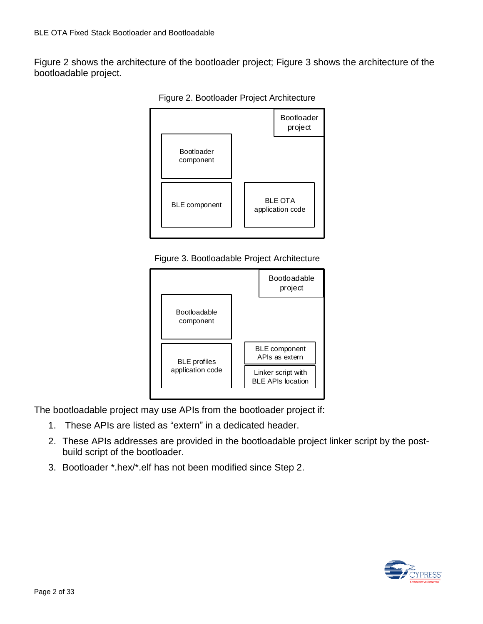Figure 2 shows the architecture of the bootloader project; Figure 3 shows the architecture of the bootloadable project.



Figure 2. Bootloader Project Architecture

Figure 3. Bootloadable Project Architecture



The bootloadable project may use APIs from the bootloader project if:

- 1. These APIs are listed as "extern" in a dedicated header.
- 2. These APIs addresses are provided in the bootloadable project linker script by the postbuild script of the bootloader.
- 3. Bootloader \*.hex/\*.elf has not been modified since Step 2.

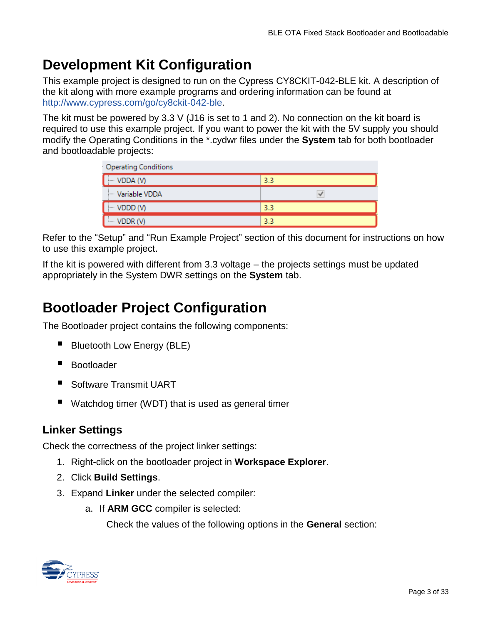# **Development Kit Configuration**

This example project is designed to run on the Cypress CY8CKIT-042-BLE kit. A description of the kit along with more example programs and ordering information can be found at <http://www.cypress.com/go/cy8ckit-042-ble>.

The kit must be powered by 3.3 V (J16 is set to 1 and 2). No connection on the kit board is required to use this example project. If you want to power the kit with the 5V supply you should modify the Operating Conditions in the \*.cydwr files under the **System** tab for both bootloader and bootloadable projects:

| Operating Conditions |     |  |
|----------------------|-----|--|
| $\cdots$ VDDA (V)    | 3.3 |  |
| Mariable VDDA        |     |  |
| $\cdots$ VDDD (V)    | 3.3 |  |
| <b>E-VDDR (V)</b>    | 3.3 |  |

Refer to the "Setup" [and "Run Example Project"](#page-14-0) section of this document for instructions on how to use this example project.

If the kit is powered with different from 3.3 voltage – the projects settings must be updated appropriately in the System DWR settings on the **System** tab.

# **Bootloader Project Configuration**

The Bootloader project contains the following components:

- Bluetooth Low Energy (BLE)
- Bootloader
- Software Transmit UART
- Watchdog timer (WDT) that is used as general timer

### **Linker Settings**

Check the correctness of the project linker settings:

- 1. Right-click on the bootloader project in **Workspace Explorer**.
- 2. Click **Build Settings**.
- 3. Expand **Linker** under the selected compiler:
	- a. If **ARM GCC** compiler is selected:

Check the values of the following options in the **General** section:

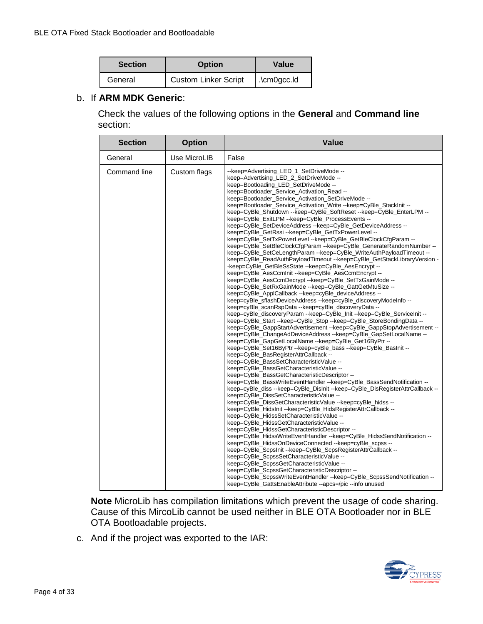| <b>Section</b> | <b>Option</b>               | Value               |
|----------------|-----------------------------|---------------------|
| General        | <b>Custom Linker Script</b> | $\ldots$ . $\ldots$ |

#### b. If **ARM MDK Generic**:

Check the values of the following options in the **General** and **Command line** section:

| <b>Section</b> | <b>Option</b> | <b>Value</b>                                                                                                                                                                                                                                                                                                                                                                                                                                                                                                                                                                                                                                                                                                                                                                                                                                                                                                                                                                                                                                                                                                                                                                                                                                                                                                                                                                                                                                                                                                                                                                                                                                                                                                                                                                                                                                                                                                                                                                                                                                                                                                                                                                                                                                                                                                                                                                                                                                                                                                                                                                                                                                                                                                                                                                                                                                               |
|----------------|---------------|------------------------------------------------------------------------------------------------------------------------------------------------------------------------------------------------------------------------------------------------------------------------------------------------------------------------------------------------------------------------------------------------------------------------------------------------------------------------------------------------------------------------------------------------------------------------------------------------------------------------------------------------------------------------------------------------------------------------------------------------------------------------------------------------------------------------------------------------------------------------------------------------------------------------------------------------------------------------------------------------------------------------------------------------------------------------------------------------------------------------------------------------------------------------------------------------------------------------------------------------------------------------------------------------------------------------------------------------------------------------------------------------------------------------------------------------------------------------------------------------------------------------------------------------------------------------------------------------------------------------------------------------------------------------------------------------------------------------------------------------------------------------------------------------------------------------------------------------------------------------------------------------------------------------------------------------------------------------------------------------------------------------------------------------------------------------------------------------------------------------------------------------------------------------------------------------------------------------------------------------------------------------------------------------------------------------------------------------------------------------------------------------------------------------------------------------------------------------------------------------------------------------------------------------------------------------------------------------------------------------------------------------------------------------------------------------------------------------------------------------------------------------------------------------------------------------------------------------------------|
| General        | Use MicroLIB  | False                                                                                                                                                                                                                                                                                                                                                                                                                                                                                                                                                                                                                                                                                                                                                                                                                                                                                                                                                                                                                                                                                                                                                                                                                                                                                                                                                                                                                                                                                                                                                                                                                                                                                                                                                                                                                                                                                                                                                                                                                                                                                                                                                                                                                                                                                                                                                                                                                                                                                                                                                                                                                                                                                                                                                                                                                                                      |
| Command line   | Custom flags  | --keep=Advertising_LED_1_SetDriveMode --<br>keep=Advertising_LED_2_SetDriveMode --<br>keep=Bootloading_LED_SetDriveMode --<br>keep=Bootloader_Service_Activation_Read --<br>keep=Bootloader_Service_Activation_SetDriveMode --<br>keep=Bootloader_Service_Activation_Write --keep=CyBle_StackInit --<br>keep=CyBle_Shutdown --keep=CyBle_SoftReset --keep=CyBle_EnterLPM --<br>keep=CyBle_ExitLPM --keep=CyBle_ProcessEvents --<br>keep=CyBle_SetDeviceAddress --keep=CyBle_GetDeviceAddress --<br>keep=CyBle_GetRssi--keep=CyBle_GetTxPowerLevel --<br>keep=CyBle_SetTxPowerLevel --keep=CyBle_GetBleClockCfgParam --<br>keep=CyBle_SetBleClockCfgParam --keep=CyBle_GenerateRandomNumber --<br>keep=CyBle_SetCeLengthParam --keep=CyBle_WriteAuthPayloadTimeout --<br>keep=CyBle_ReadAuthPayloadTimeout --keep=CyBle_GetStackLibraryVersion -<br>-keep=CyBle_GetBleSsState --keep=CyBle_AesEncrypt --<br>keep=CyBle AesCcmInit--keep=CyBle AesCcmEncrypt--<br>keep=CyBle_AesCcmDecrypt--keep=CyBle_SetTxGainMode--<br>keep=CyBle_SetRxGainMode--keep=CyBle_GattGetMtuSize--<br>keep=CyBle_ApplCallback --keep=cyBle_deviceAddress --<br>keep=cyBle_sflashDeviceAddress --keep=cyBle_discoveryModeInfo --<br>keep=cyBle_scanRspData --keep=cyBle_discoveryData --<br>keep=cyBle_discoveryParam --keep=CyBle_Init --keep=CyBle_ServiceInit --<br>keep=CyBle_Start --keep=CyBle_Stop --keep=CyBle_StoreBondingData --<br>keep=CyBle GappStartAdvertisement --keep=CyBle GappStopAdvertisement --<br>keep=CyBle_ChangeAdDeviceAddress --keep=CyBle_GapSetLocalName --<br>keep=CyBle_GapGetLocalName --keep=CyBle_Get16ByPtr --<br>keep=CyBle_Set16ByPtr --keep=cyBle_bass --keep=CyBle_BasInit --<br>keep=CyBle_BasRegisterAttrCallback --<br>keep=CyBle_BassSetCharacteristicValue --<br>keep=CyBle_BassGetCharacteristicValue --<br>keep=CyBle_BassGetCharacteristicDescriptor --<br>keep=CyBle_BassWriteEventHandler --keep=CyBle_BassSendNotification --<br>keep=cyBle_diss --keep=CyBle_DisInit --keep=CyBle_DisRegisterAttrCallback --<br>keep=CyBle_DissSetCharacteristicValue --<br>keep=CyBle_DissGetCharacteristicValue --keep=cyBle_hidss --<br>keep=CyBle_HidsInit --keep=CyBle_HidsRegisterAttrCallback --<br>keep=CyBle_HidssSetCharacteristicValue --<br>keep=CyBle_HidssGetCharacteristicValue --<br>keep=CyBle_HidssGetCharacteristicDescriptor --<br>keep=CyBle_HidssWriteEventHandler --keep=CyBle_HidssSendNotification --<br>keep=CyBle_HidssOnDeviceConnected --keep=cyBle_scpss --<br>keep=CyBle_ScpsInit--keep=CyBle_ScpsRegisterAttrCallback --<br>keep=CyBle_ScpssSetCharacteristicValue --<br>keep=CyBle_ScpssGetCharacteristicValue --<br>keep=CyBle_ScpssGetCharacteristicDescriptor --<br>keep=CyBle_ScpssWriteEventHandler --keep=CyBle_ScpssSendNotification --<br>keep=CyBle_GattsEnableAttribute --apcs=/pic --info unused |

**Note** MicroLib has compilation limitations which prevent the usage of code sharing. Cause of this MircoLib cannot be used neither in BLE OTA Bootloader nor in BLE OTA Bootloadable projects.

c. And if the project was exported to the IAR:

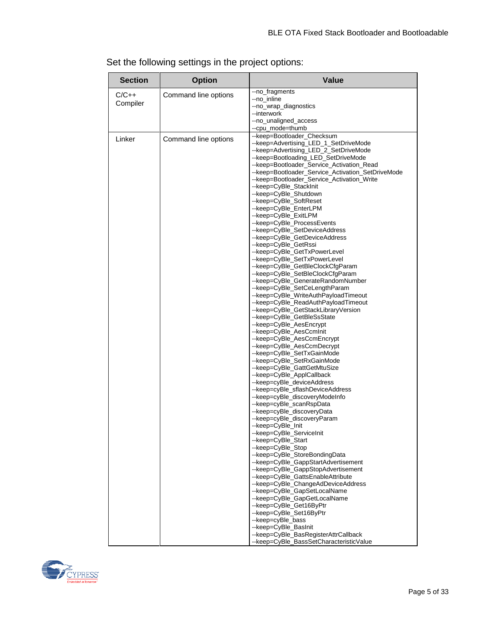| <b>Section</b> | <b>Option</b>        | <b>Value</b>                                                                                    |
|----------------|----------------------|-------------------------------------------------------------------------------------------------|
| $C/C++$        | Command line options | --no_fragments                                                                                  |
| Compiler       |                      | --no inline                                                                                     |
|                |                      | --no_wrap_diagnostics<br>--interwork                                                            |
|                |                      | --no_unaligned_access                                                                           |
|                |                      | --cpu_mode=thumb                                                                                |
|                |                      | --keep=Bootloader_Checksum                                                                      |
| Linker         | Command line options | --keep=Advertising_LED_1_SetDriveMode                                                           |
|                |                      | --keep=Advertising LED 2 SetDriveMode                                                           |
|                |                      | --keep=Bootloading_LED_SetDriveMode                                                             |
|                |                      | --keep=Bootloader_Service_Activation_Read<br>-- keep=Bootloader_Service_Activation_SetDriveMode |
|                |                      | --keep=Bootloader_Service_Activation_Write                                                      |
|                |                      | --keep=CyBle_StackInit                                                                          |
|                |                      | --keep=CyBle_Shutdown                                                                           |
|                |                      | --keep=CyBle_SoftReset                                                                          |
|                |                      | --keep=CyBle_EnterLPM                                                                           |
|                |                      | --keep=CyBle_ExitLPM                                                                            |
|                |                      | --keep=CyBle_ProcessEvents<br>--keep=CyBle_SetDeviceAddress                                     |
|                |                      | --keep=CyBle_GetDeviceAddress                                                                   |
|                |                      | --keep=CyBle_GetRssi                                                                            |
|                |                      | --keep=CyBle_GetTxPowerLevel                                                                    |
|                |                      | --keep=CyBle SetTxPowerLevel                                                                    |
|                |                      | --keep=CyBle_GetBleClockCfgParam                                                                |
|                |                      | --keep=CyBle_SetBleClockCfgParam<br>--keep=CyBle_GenerateRandomNumber                           |
|                |                      | --keep=CyBle_SetCeLengthParam                                                                   |
|                |                      | --keep=CyBle_WriteAuthPayloadTimeout                                                            |
|                |                      | --keep=CyBle_ReadAuthPayloadTimeout                                                             |
|                |                      | --keep=CyBle_GetStackLibraryVersion                                                             |
|                |                      | --keep=CyBle_GetBleSsState                                                                      |
|                |                      | --keep=CyBle_AesEncrypt<br>--keep=CyBle_AesCcmInit                                              |
|                |                      | --keep=CyBle_AesCcmEncrypt                                                                      |
|                |                      | --keep=CyBle_AesCcmDecrypt                                                                      |
|                |                      | --keep=CyBle_SetTxGainMode                                                                      |
|                |                      | --keep=CyBle_SetRxGainMode                                                                      |
|                |                      | --keep=CyBle_GattGetMtuSize                                                                     |
|                |                      | --keep=CyBle_ApplCallback<br>--keep=cyBle_deviceAddress                                         |
|                |                      | --keep=cyBle_sflashDeviceAddress                                                                |
|                |                      | --keep=cyBle discoveryModeInfo                                                                  |
|                |                      | --keep=cyBle_scanRspData                                                                        |
|                |                      | --keep=cyBle_discoveryData                                                                      |
|                |                      | --keep=cyBle_discoveryParam                                                                     |
|                |                      | --keep=CyBle_Init<br>--keep=CyBle_ServiceInit                                                   |
|                |                      | --keep=CyBle_Start                                                                              |
|                |                      | --keep=CyBle_Stop                                                                               |
|                |                      | --keep=CyBle_StoreBondingData                                                                   |
|                |                      | --keep=CyBle_GappStartAdvertisement                                                             |
|                |                      | --keep=CyBle_GappStopAdvertisement                                                              |
|                |                      | --keep=CyBle_GattsEnableAttribute<br>--keep=CyBle_ChangeAdDeviceAddress                         |
|                |                      | --keep=CyBle_GapSetLocalName                                                                    |
|                |                      | --keep=CyBle_GapGetLocalName                                                                    |
|                |                      | --keep=CyBle_Get16ByPtr                                                                         |
|                |                      | --keep=CyBle_Set16ByPtr                                                                         |
|                |                      | --keep=cyBle_bass<br>--keep=CyBle_BasInit                                                       |
|                |                      | --keep=CyBle_BasRegisterAttrCallback                                                            |
|                |                      | --keep=CyBle_BassSetCharacteristicValue                                                         |

Set the following settings in the project options:

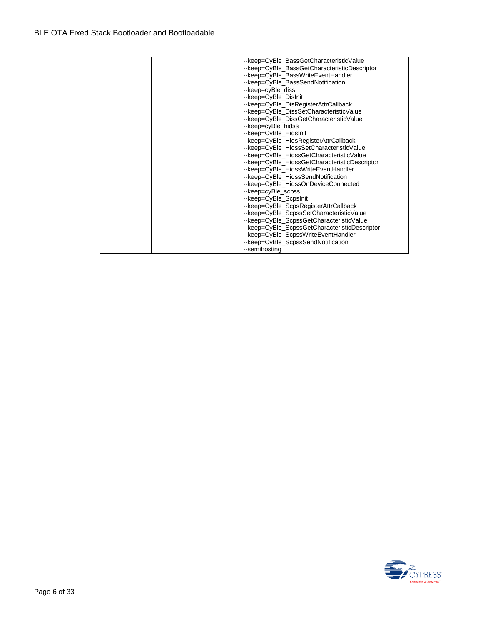|  | --keep=CyBle_BassGetCharacteristicValue       |
|--|-----------------------------------------------|
|  | -- keep=CyBle_BassGetCharacteristicDescriptor |
|  | --keep=CyBle BassWriteEventHandler            |
|  | --keep=CyBle_BassSendNotification             |
|  | --keep=cyBle diss                             |
|  | --keep=CyBle_DisInit                          |
|  | --keep=CyBle_DisRegisterAttrCallback          |
|  | --keep=CyBle_DissSetCharacteristicValue       |
|  | -- keep=CyBle DissGetCharacteristicValue      |
|  | --keep=cyBle_hidss                            |
|  | --keep=CyBle_HidsInit                         |
|  | --keep=CyBle_HidsRegisterAttrCallback         |
|  | --keep=CyBle_HidssSetCharacteristicValue      |
|  | -- keep=CyBle HidssGetCharacteristicValue     |
|  | --keep=CyBle_HidssGetCharacteristicDescriptor |
|  | --keep=CyBle_HidssWriteEventHandler           |
|  | --keep=CyBle_HidssSendNotification            |
|  | --keep=CyBle_HidssOnDeviceConnected           |
|  | --keep=cyBle_scpss                            |
|  | --keep=CyBle_ScpsInit                         |
|  | --keep=CyBle_ScpsRegisterAttrCallback         |
|  | --keep=CyBle_ScpssSetCharacteristicValue      |
|  | --keep=CyBle_ScpssGetCharacteristicValue      |
|  | --keep=CyBle_ScpssGetCharacteristicDescriptor |
|  | --keep=CyBle_ScpssWriteEventHandler           |
|  | --keep=CyBle_ScpssSendNotification            |
|  | --semihosting                                 |

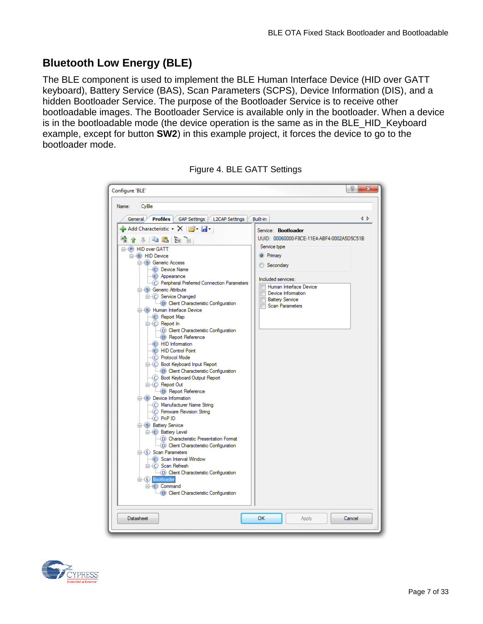## **Bluetooth Low Energy (BLE)**

The BLE component is used to implement the BLE Human Interface Device (HID over GATT keyboard), Battery Service (BAS), Scan Parameters (SCPS), Device Information (DIS), and a hidden Bootloader Service. The purpose of the Bootloader Service is to receive other bootloadable images. The Bootloader Service is available only in the bootloader. When a device is in the bootloadable mode (the device operation is the same as in the BLE\_HID\_Keyboard example, except for button **SW2**) in this example project, it forces the device to go to the bootloader mode.

| Configure 'BLE'                                                                                                                                                                                                                                                                                                                                                                                                                                                                                                                                                                                                                                                                                                                                                                                                                                                                                                                                                                                                                                                                                                                                                                                                                                       |                                                                                                                                                                                                                                                          | D<br>$\mathbf{x}$ |  |
|-------------------------------------------------------------------------------------------------------------------------------------------------------------------------------------------------------------------------------------------------------------------------------------------------------------------------------------------------------------------------------------------------------------------------------------------------------------------------------------------------------------------------------------------------------------------------------------------------------------------------------------------------------------------------------------------------------------------------------------------------------------------------------------------------------------------------------------------------------------------------------------------------------------------------------------------------------------------------------------------------------------------------------------------------------------------------------------------------------------------------------------------------------------------------------------------------------------------------------------------------------|----------------------------------------------------------------------------------------------------------------------------------------------------------------------------------------------------------------------------------------------------------|-------------------|--|
| Name:<br>CvBle                                                                                                                                                                                                                                                                                                                                                                                                                                                                                                                                                                                                                                                                                                                                                                                                                                                                                                                                                                                                                                                                                                                                                                                                                                        |                                                                                                                                                                                                                                                          |                   |  |
|                                                                                                                                                                                                                                                                                                                                                                                                                                                                                                                                                                                                                                                                                                                                                                                                                                                                                                                                                                                                                                                                                                                                                                                                                                                       |                                                                                                                                                                                                                                                          |                   |  |
|                                                                                                                                                                                                                                                                                                                                                                                                                                                                                                                                                                                                                                                                                                                                                                                                                                                                                                                                                                                                                                                                                                                                                                                                                                                       |                                                                                                                                                                                                                                                          |                   |  |
| <b>Profiles</b><br>General <sub>&gt;</sub><br>GAP Settings   L2CAP Settings<br>$\blacktriangle$ Add Characteristic $\blacktriangleright$ $\blacktriangleright$ $\blacktriangleright$ $\blacktriangleright$<br>$+$ & & $\overline{\bf k}$ a<br>嶿<br><b>E-P</b> HID over GATT<br>□ (R) HID Device<br><b>E-S</b> Generic Access<br>C Device Name<br>C Appearance<br>C. Peripheral Preferred Connection Parameters<br>Generic Attribute<br><b>E</b> . C Service Changed<br><b>D</b> Client Characteristic Configuration<br><b>E</b> S Human Interface Device<br>C Report Map<br>□ (C) Report In<br>D) Client Characteristic Configuration<br>D Report Reference<br><b>C</b> HID Information<br><b>C</b> HID Control Point<br>C Protocol Mode<br><b>E-C</b> Boot Keyboard Input Report<br><b>D</b> Client Characteristic Configuration<br>C Boot Keyboard Output Report<br>□ C Report Out<br>D Report Reference<br>□ (S) Device Information<br>C Manufacturer Name String<br>C Firmware Revision String<br>$\bigcirc$ PnP ID<br><b>E-S</b> Battery Service<br><b>E</b> . C Battery Level<br>(D) Characteristic Presentation Format<br>D) Client Characteristic Configuration<br>□ (S) Scan Parameters<br>Scan Interval Window<br><b>E</b> . C Scan Refresh | Built-in<br>Service: <b>Bootloader</b><br>UUID: 00060000-F8CE-11E4-ABF4-0002A5D5C51B<br>Service type<br><b>O</b> Primary<br>Secondary<br>Included services:<br>Human Interface Device<br>Device Information<br><b>Battery Service</b><br>Scan Parameters | 1 D               |  |
| D) Client Characteristic Configuration<br><b>E</b> (S) Bootloader<br>$\Box$ $\Box$ Command<br><b>D</b> Client Characteristic Configuration                                                                                                                                                                                                                                                                                                                                                                                                                                                                                                                                                                                                                                                                                                                                                                                                                                                                                                                                                                                                                                                                                                            |                                                                                                                                                                                                                                                          |                   |  |
|                                                                                                                                                                                                                                                                                                                                                                                                                                                                                                                                                                                                                                                                                                                                                                                                                                                                                                                                                                                                                                                                                                                                                                                                                                                       |                                                                                                                                                                                                                                                          |                   |  |
| Datasheet                                                                                                                                                                                                                                                                                                                                                                                                                                                                                                                                                                                                                                                                                                                                                                                                                                                                                                                                                                                                                                                                                                                                                                                                                                             | <b>OK</b><br>Apply                                                                                                                                                                                                                                       | Cancel            |  |

Figure 4. BLE GATT Settings

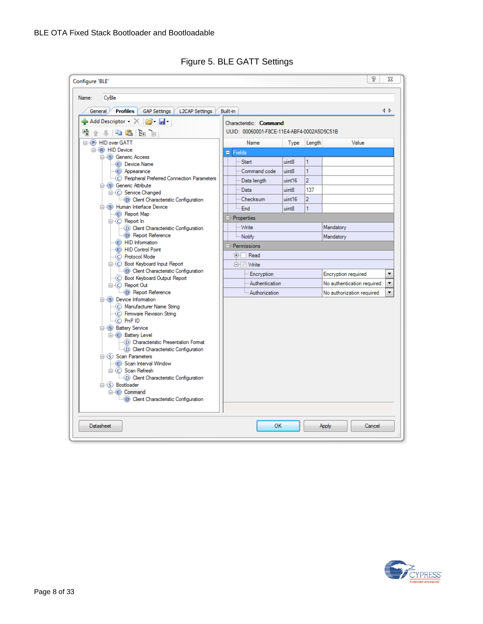| Configure 'BLE'<br>CyBle<br>Name:                                                                                       |                                            |        |                |                                 |
|-------------------------------------------------------------------------------------------------------------------------|--------------------------------------------|--------|----------------|---------------------------------|
| <b>Profiles</b> GAP Settings L2CAP Settings<br>General /                                                                | Built-in                                   |        |                | 1 D                             |
| $\blacktriangle$ Add Descriptor $\blacktriangleright$ $\blacktriangleright$ $\blacktriangleright$ $\blacktriangleright$ | Characteristic: Command                    |        |                |                                 |
| $+$ & $\mathbf{B}$ $\mathbf{b}$ $\mathbf{c}$                                                                            | UUID: 00060001-F8CE-11E4-ABF4-0002A5D5C51B |        |                |                                 |
| <b>E-P</b> HID over GATT                                                                                                | <b>Name</b>                                | Type   | Length         | Value                           |
| <b>E</b> R HID Device                                                                                                   | <b>E</b> Fields                            |        |                |                                 |
| <b>E-S</b> Generic Access                                                                                               | - Start                                    | uint8  | 1              |                                 |
| Device Name                                                                                                             |                                            |        |                |                                 |
| C Appearance                                                                                                            | Command code                               | uint8  | 1              |                                 |
| C Peripheral Preferred Connection Parameters                                                                            | Data length                                | uint16 | $\overline{2}$ |                                 |
| <b>E. S.</b> Generic Attribute                                                                                          | Data                                       | uint8  | 137            |                                 |
| C Service Changed<br><b>D</b> Client Characteristic Configuration                                                       | Checksum                                   | uint16 | $\overline{2}$ |                                 |
| <b>E</b> S Human Interface Device                                                                                       |                                            |        |                |                                 |
| C Report Map                                                                                                            | └┈ End                                     | uint8  | 1              |                                 |
| $\Box$ (C) Report In                                                                                                    | ⊟ <sup></sup> Properties                   |        |                |                                 |
| (D) Client Characteristic Configuration                                                                                 | - Write                                    |        |                | Mandatory                       |
| D Report Reference                                                                                                      | - Notify                                   |        |                | Mandatory                       |
| - C HID Information                                                                                                     |                                            |        |                |                                 |
| <b>C</b> HID Control Point                                                                                              | E Permissions                              |        |                |                                 |
| C Protocol Mode                                                                                                         | <b>E</b> -Read                             |        |                |                                 |
| <b>E</b> . C Boot Keyboard Input Report                                                                                 | <b>E</b> <sup>-</sup> √ Write              |        |                |                                 |
| <b>D</b> Client Characteristic Configuration                                                                            | Encryption                                 |        |                | Encryption required<br>۰        |
| C Boot Keyboard Output Report                                                                                           |                                            |        |                |                                 |
| □ C Report Out                                                                                                          | · Authentication                           |        |                | No authentication required<br>۳ |
| <b>D</b> Report Reference                                                                                               | - Authorization                            |        |                | ÷<br>No authorization required  |
| □ S Device Information                                                                                                  |                                            |        |                |                                 |
| - C Manufacturer Name String                                                                                            |                                            |        |                |                                 |
| C Firmware Revision String<br>$-C$ PnP ID                                                                               |                                            |        |                |                                 |
| <b>E-S</b> Battery Service                                                                                              |                                            |        |                |                                 |
| <b>E</b> . C Battery Level                                                                                              |                                            |        |                |                                 |
| (D) Characteristic Presentation Format                                                                                  |                                            |        |                |                                 |
| D Client Characteristic Configuration                                                                                   |                                            |        |                |                                 |
| □ (S) Scan Parameters                                                                                                   |                                            |        |                |                                 |
| Scan Interval Window                                                                                                    |                                            |        |                |                                 |
| □ C Scan Refresh                                                                                                        |                                            |        |                |                                 |
| D Client Characteristic Configuration                                                                                   |                                            |        |                |                                 |
| □ (S) Bootloader                                                                                                        |                                            |        |                |                                 |
| $\equiv$ (C) Command                                                                                                    |                                            |        |                |                                 |
| <b>D</b> Client Characteristic Configuration                                                                            |                                            |        |                |                                 |
|                                                                                                                         |                                            |        |                |                                 |
| <b>Datasheet</b>                                                                                                        | OK                                         |        |                | Cancel<br>Apply                 |

Figure 5. BLE GATT Settings

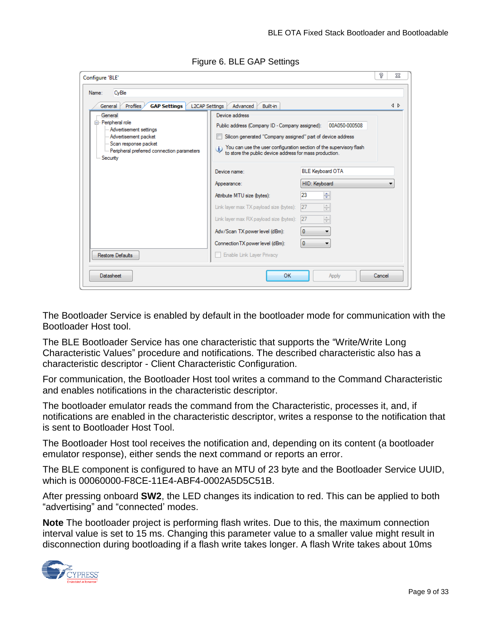| Profiles<br><b>GAP Settings</b><br><b>L2CAP Settings</b><br>General<br>- General<br>□ Peripheral role<br>- Advertisement settings<br>- Advertisement packet | Advanced<br>Built-in<br>Device address<br>Public address (Company ID - Company assigned):<br>Silicon generated "Company assigned" part of device address                                  | 00A050-000508                                                               | $\triangleleft$ $\triangleright$ |
|-------------------------------------------------------------------------------------------------------------------------------------------------------------|-------------------------------------------------------------------------------------------------------------------------------------------------------------------------------------------|-----------------------------------------------------------------------------|----------------------------------|
| Scan response packet<br>i Peripheral preferred connection parameters<br>Security                                                                            | You can use the user configuration section of the supervisory flash<br>$\mathbf{i}$<br>to store the public device address for mass production.<br><b>BLE Keyboard OTA</b><br>Device name: |                                                                             |                                  |
|                                                                                                                                                             | Appearance:                                                                                                                                                                               | HID: Keyboard                                                               |                                  |
|                                                                                                                                                             | Attribute MTU size (bytes):<br>Link layer max TX payload size (bytes):<br>Link layer max RX payload size (bytes):                                                                         | ÷<br>23<br>$\frac{\triangle}{\tau}$<br>27<br>$\frac{\triangle}{\tau}$<br>27 |                                  |
| <b>Restore Defaults</b>                                                                                                                                     | Adv/Scan TX power level (dBm):<br>Connection TX power level (dBm):<br>Enable Link Layer Privacy                                                                                           | $\mathbf{0}$<br>0                                                           |                                  |

Figure 6. BLE GAP Settings

The Bootloader Service is enabled by default in the bootloader mode for communication with the Bootloader Host tool.

The BLE Bootloader Service has one characteristic that supports the "Write/Write Long Characteristic Values" procedure and notifications. The described characteristic also has a characteristic descriptor - Client Characteristic Configuration.

For communication, the Bootloader Host tool writes a command to the Command Characteristic and enables notifications in the characteristic descriptor.

The bootloader emulator reads the command from the Characteristic, processes it, and, if notifications are enabled in the characteristic descriptor, writes a response to the notification that is sent to Bootloader Host Tool.

The Bootloader Host tool receives the notification and, depending on its content (a bootloader emulator response), either sends the next command or reports an error.

The BLE component is configured to have an MTU of 23 byte and the Bootloader Service UUID, which is 00060000-F8CE-11E4-ABF4-0002A5D5C51B.

After pressing onboard **SW2**, the LED changes its indication to red. This can be applied to both "advertising" and "connected' modes.

**Note** The bootloader project is performing flash writes. Due to this, the maximum connection interval value is set to 15 ms. Changing this parameter value to a smaller value might result in disconnection during bootloading if a flash write takes longer. A flash Write takes about 10ms

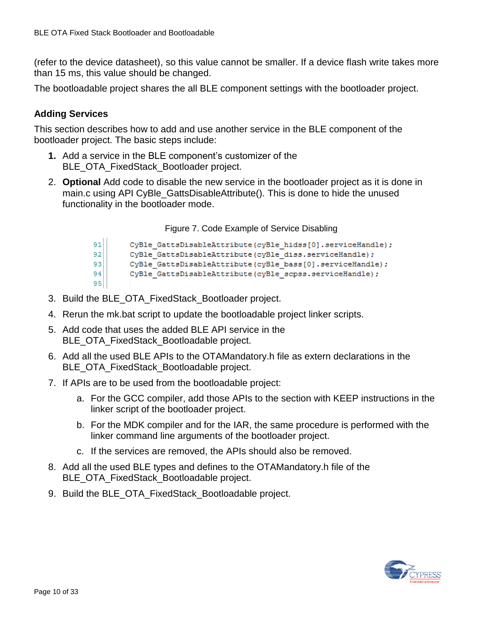(refer to the device datasheet), so this value cannot be smaller. If a device flash write takes more than 15 ms, this value should be changed.

The bootloadable project shares the all BLE component settings with the bootloader project.

#### **Adding Services**

This section describes how to add and use another service in the BLE component of the bootloader project. The basic steps include:

- **1.** Add a service in the BLE component's customizer of the BLE\_OTA\_FixedStack\_Bootloader project.
- 2. **Optional** Add code to disable the new service in the bootloader project as it is done in main.c using API CyBle GattsDisableAttribute(). This is done to hide the unused functionality in the bootloader mode.

Figure 7. Code Example of Service Disabling

| 91 | CyBle GattsDisableAttribute(cyBle hidss[0].serviceHandle); |
|----|------------------------------------------------------------|
| 92 | CyBle GattsDisableAttribute(cyBle diss.serviceHandle);     |
| 93 | CyBle GattsDisableAttribute(cyBle bass[0].serviceHandle);  |
| 94 | CyBle GattsDisableAttribute(cyBle scpss.serviceHandle);    |
| 95 |                                                            |

- 3. Build the BLE\_OTA\_FixedStack\_Bootloader project.
- 4. Rerun the mk.bat script to update the bootloadable project linker scripts.
- 5. Add code that uses the added BLE API service in the BLE\_OTA\_FixedStack\_Bootloadable project.
- 6. Add all the used BLE APIs to the OTAMandatory.h file as extern declarations in the BLE\_OTA\_FixedStack\_Bootloadable project.
- 7. If APIs are to be used from the bootloadable project:
	- a. For the GCC compiler, add those APIs to the section with KEEP instructions in the linker script of the bootloader project.
	- b. For the MDK compiler and for the IAR, the same procedure is performed with the linker command line arguments of the bootloader project.
	- c. If the services are removed, the APIs should also be removed.
- 8. Add all the used BLE types and defines to the OTAMandatory.h file of the BLE\_OTA\_FixedStack\_Bootloadable project.
- 9. Build the BLE\_OTA\_FixedStack\_Bootloadable project.

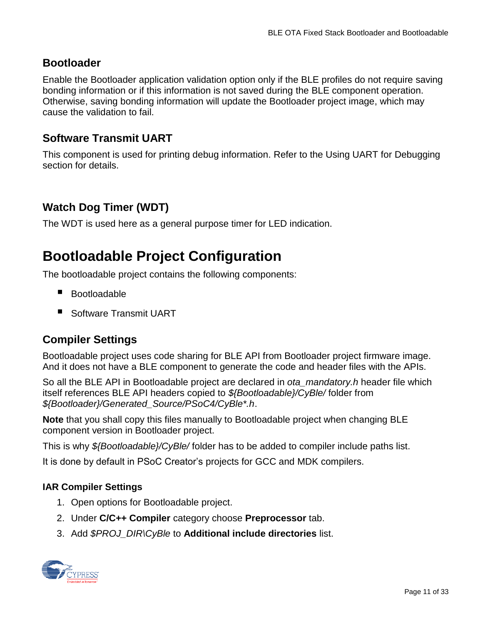### **Bootloader**

Enable the Bootloader application validation option only if the BLE profiles do not require saving bonding information or if this information is not saved during the BLE component operation. Otherwise, saving bonding information will update the Bootloader project image, which may cause the validation to fail.

### **Software Transmit UART**

This component is used for printing debug information. Refer to the [Using UART for Debugging](#page-22-0) section for details.

## **Watch Dog Timer (WDT)**

The WDT is used here as a general purpose timer for LED indication.

# **Bootloadable Project Configuration**

The bootloadable project contains the following components:

- Bootloadable
- Software Transmit UART

### **Compiler Settings**

Bootloadable project uses code sharing for BLE API from Bootloader project firmware image. And it does not have a BLE component to generate the code and header files with the APIs.

So all the BLE API in Bootloadable project are declared in *ota\_mandatory.h* header file which itself references BLE API headers copied to *\${Bootloadable}/CyBle/* folder from *\${Bootloader}/Generated\_Source/PSoC4/CyBle\*.h*.

**Note** that you shall copy this files manually to Bootloadable project when changing BLE component version in Bootloader project.

This is why *\${Bootloadable}/CyBle/* folder has to be added to compiler include paths list.

It is done by default in PSoC Creator's projects for GCC and MDK compilers.

#### <span id="page-10-0"></span>**IAR Compiler Settings**

- 1. Open options for Bootloadable project.
- 2. Under **C/C++ Compiler** category choose **Preprocessor** tab.
- 3. Add *\$PROJ\_DIR\CyBle* to **Additional include directories** list.

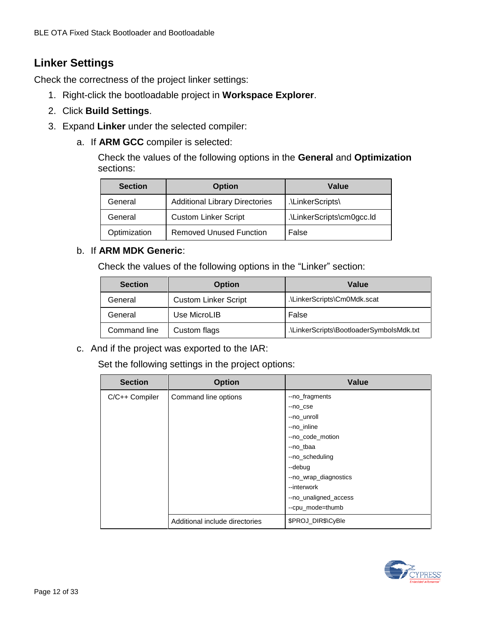### **Linker Settings**

Check the correctness of the project linker settings:

- 1. Right-click the bootloadable project in **Workspace Explorer**.
- 2. Click **Build Settings**.
- 3. Expand **Linker** under the selected compiler:
	- a. If **ARM GCC** compiler is selected:

Check the values of the following options in the **General** and **Optimization** sections:

| <b>Section</b> | <b>Option</b>                         | Value                     |
|----------------|---------------------------------------|---------------------------|
| General        | <b>Additional Library Directories</b> | .\LinkerScripts\          |
| General        | <b>Custom Linker Script</b>           | .\LinkerScripts\cm0gcc.ld |
| Optimization   | <b>Removed Unused Function</b>        | False                     |

#### b. If **ARM MDK Generic**:

Check the values of the following options in the "Linker" section:

| <b>Section</b> | <b>Option</b>               | Value                                    |
|----------------|-----------------------------|------------------------------------------|
| General        | <b>Custom Linker Script</b> | .\LinkerScripts\Cm0Mdk.scat              |
| General        | Use MicroLIB                | False                                    |
| Command line   | Custom flags                | .\LinkerScripts\BootloaderSymbolsMdk.txt |

c. And if the project was exported to the IAR:

Set the following settings in the project options:

| <b>Section</b> | <b>Option</b>                  | Value                 |
|----------------|--------------------------------|-----------------------|
| C/C++ Compiler | Command line options           | --no_fragments        |
|                |                                | --no_cse              |
|                |                                | --no unroll           |
|                |                                | --no inline           |
|                |                                | --no_code_motion      |
|                |                                | --no tbaa             |
|                |                                | --no_scheduling       |
|                |                                | --debug               |
|                |                                | --no_wrap_diagnostics |
|                |                                | --interwork           |
|                |                                | --no_unaligned_access |
|                |                                | --cpu_mode=thumb      |
|                | Additional include directories | \$PROJ_DIR\$\CyBle    |

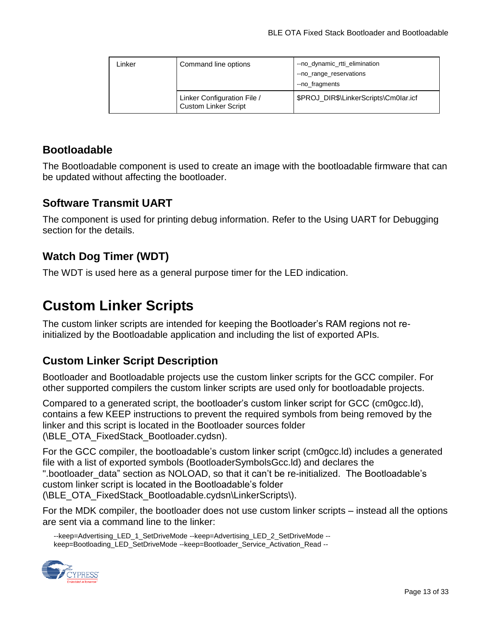| ∟inker | Command line options                                       | --no_dynamic_rtti_elimination<br>--no_range_reservations<br>--no_fragments |
|--------|------------------------------------------------------------|----------------------------------------------------------------------------|
|        | Linker Configuration File /<br><b>Custom Linker Script</b> | \$PROJ DIR\$\LinkerScripts\Cm0lar.icf                                      |

### **Bootloadable**

The Bootloadable component is used to create an image with the bootloadable firmware that can be updated without affecting the bootloader.

### **Software Transmit UART**

The component is used for printing debug information. Refer to the [Using UART for Debugging](#page-22-0) section for the details.

## **Watch Dog Timer (WDT)**

The WDT is used here as a general purpose timer for the LED indication.

## **Custom Linker Scripts**

The custom linker scripts are intended for keeping the Bootloader's RAM regions not reinitialized by the Bootloadable application and including the list of exported APIs.

### **Custom Linker Script Description**

Bootloader and Bootloadable projects use the custom linker scripts for the GCC compiler. For other supported compilers the custom linker scripts are used only for bootloadable projects.

Compared to a generated script, the bootloader's custom linker script for GCC (cm0gcc.ld), contains a few KEEP instructions to prevent the required symbols from being removed by the linker and this script is located in the Bootloader sources folder (\BLE\_OTA\_FixedStack\_Bootloader.cydsn).

For the GCC compiler, the bootloadable's custom linker script (cm0gcc.ld) includes a generated file with a list of exported symbols (BootloaderSymbolsGcc.ld) and declares the ".bootloader\_data" section as NOLOAD, so that it can't be re-initialized. The Bootloadable's custom linker script is located in the Bootloadable's folder (\BLE\_OTA\_FixedStack\_Bootloadable.cydsn\LinkerScripts\).

For the MDK compiler, the bootloader does not use custom linker scripts – instead all the options are sent via a command line to the linker:

--keep=Advertising\_LED\_1\_SetDriveMode --keep=Advertising\_LED\_2\_SetDriveMode - keep=Bootloading\_LED\_SetDriveMode --keep=Bootloader\_Service\_Activation\_Read --

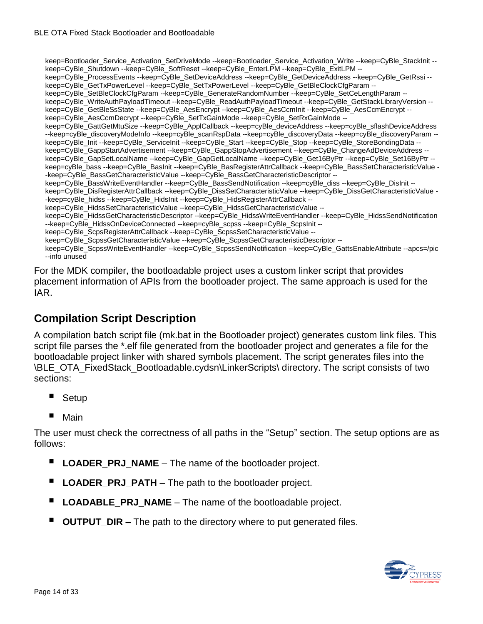keep=Bootloader\_Service\_Activation\_SetDriveMode --keep=Bootloader\_Service\_Activation\_Write --keep=CyBle\_StackInit - keep=CyBle\_Shutdown --keep=CyBle\_SoftReset --keep=CyBle\_EnterLPM --keep=CyBle\_ExitLPM - keep=CyBle\_ProcessEvents --keep=CyBle\_SetDeviceAddress --keep=CyBle\_GetDeviceAddress --keep=CyBle\_GetRssi - keep=CyBle\_GetTxPowerLevel --keep=CyBle\_SetTxPowerLevel --keep=CyBle\_GetBleClockCfgParam -keep=CyBle\_SetBleClockCfqParam --keep=CyBle\_GenerateRandomNumber --keep=CyBle\_SetCeLengthParam -keep=CyBle\_WriteAuthPayloadTimeout --keep=CyBle\_ReadAuthPayloadTimeout --keep=CyBle\_GetStackLibraryVersion - keep=CyBle\_GetBleSsState --keep=CyBle\_AesEncrypt --keep=CyBle\_AesCcmInit --keep=CyBle\_AesCcmEncrypt - keep=CyBle\_AesCcmDecrypt --keep=CyBle\_SetTxGainMode --keep=CyBle\_SetRxGainMode - keep=CyBle\_GattGetMtuSize --keep=CyBle\_ApplCallback --keep=cyBle\_deviceAddress --keep=cyBle\_sflashDeviceAddress --keep=cyBle\_discoveryModeInfo --keep=cyBle\_scanRspData --keep=cyBle\_discoveryData --keep=cyBle\_discoveryParam - keep=CyBle\_Init --keep=CyBle\_ServiceInit --keep=CyBle\_Start --keep=CyBle\_Stop --keep=CyBle\_StoreBondingData - keep=CyBle\_GappStartAdvertisement --keep=CyBle\_GappStopAdvertisement --keep=CyBle\_ChangeAdDeviceAddress - keep=CyBle\_GapSetLocalName --keep=CyBle\_GapGetLocalName --keep=CyBle\_Get16ByPtr --keep=CyBle\_Set16ByPtr - keep=cyBle\_bass --keep=CyBle\_BasInit --keep=CyBle\_BasRegisterAttrCallback --keep=CyBle\_BassSetCharacteristicValue - -keep=CyBle\_BassGetCharacteristicValue --keep=CyBle\_BassGetCharacteristicDescriptor - keep=CyBle\_BassWriteEventHandler --keep=CyBle\_BassSendNotification --keep=cyBle\_diss --keep=CyBle\_DisInit -keep=CyBle\_DisRegisterAttrCallback --keep=CyBle\_DissSetCharacteristicValue --keep=CyBle\_DissGetCharacteristicValue - -keep=cyBle\_hidss --keep=CyBle\_HidsInit --keep=CyBle\_HidsRegisterAttrCallback - keep=CyBle\_HidssSetCharacteristicValue --keep=CyBle\_HidssGetCharacteristicValue - keep=CyBle\_HidssGetCharacteristicDescriptor --keep=CyBle\_HidssWriteEventHandler --keep=CyBle\_HidssSendNotification --keep=CyBle\_HidssOnDeviceConnected --keep=cyBle\_scpss --keep=CyBle\_ScpsInit - keep=CyBle\_ScpsRegisterAttrCallback --keep=CyBle\_ScpssSetCharacteristicValue - keep=CyBle\_ScpssGetCharacteristicValue --keep=CyBle\_ScpssGetCharacteristicDescriptor - keep=CyBle\_ScpssWriteEventHandler --keep=CyBle\_ScpssSendNotification --keep=CyBle\_GattsEnableAttribute --apcs=/pic --info unused

For the MDK compiler, the bootloadable project uses a custom linker script that provides placement information of APIs from the bootloader project. The same approach is used for the IAR.

### **Compilation Script Description**

A compilation batch script file (mk.bat in the Bootloader project) generates custom link files. This script file parses the \*.elf file generated from the bootloader project and generates a file for the bootloadable project linker with shared symbols placement. The script generates files into the \BLE\_OTA\_FixedStack\_Bootloadable.cydsn\LinkerScripts\ directory. The script consists of two sections:

- Setup
- Main

The user must check the correctness of all paths in the "Setup" section. The setup options are as follows:

- **LOADER\_PRJ\_NAME** The name of the bootloader project.
- **LOADER\_PRJ\_PATH** The path to the bootloader project.
- **LOADABLE\_PRJ\_NAME** The name of the bootloadable project.
- **OUTPUT** DIR The path to the directory where to put generated files.

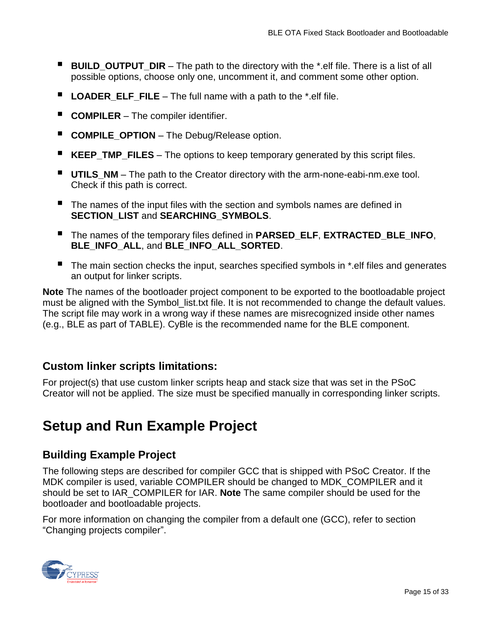- **BUILD OUTPUT DIR** The path to the directory with the \*.elf file. There is a list of all possible options, choose only one, uncomment it, and comment some other option.
- **LOADER ELF FILE** The full name with a path to the \*.elf file.
- **COMPILER** The compiler identifier.
- **COMPILE\_OPTION** The Debug/Release option.
- **KEEP\_TMP\_FILES** The options to keep temporary generated by this script files.
- **UTILS\_NM** The path to the Creator directory with the arm-none-eabi-nm.exe tool. Check if this path is correct.
- The names of the input files with the section and symbols names are defined in **SECTION\_LIST** and **SEARCHING\_SYMBOLS**.
- The names of the temporary files defined in **PARSED\_ELF**, **EXTRACTED\_BLE\_INFO**, **BLE\_INFO\_ALL**, and **BLE\_INFO\_ALL\_SORTED**.
- The main section checks the input, searches specified symbols in \*.elf files and generates an output for linker scripts.

**Note** The names of the bootloader project component to be exported to the bootloadable project must be aligned with the Symbol list.txt file. It is not recommended to change the default values. The script file may work in a wrong way if these names are misrecognized inside other names (e.g., BLE as part of TABLE). CyBle is the recommended name for the BLE component.

#### **Custom linker scripts limitations:**

For project(s) that use custom linker scripts heap and stack size that was set in the PSoC Creator will not be applied. The size must be specified manually in corresponding linker scripts.

# <span id="page-14-0"></span>**Setup and Run Example Project**

### **Building Example Project**

The following steps are described for compiler GCC that is shipped with PSoC Creator. If the MDK compiler is used, variable COMPILER should be changed to MDK\_COMPILER and it should be set to IAR\_COMPILER for IAR. **Note** The same compiler should be used for the bootloader and bootloadable projects.

For more information on changing the compiler from a default one (GCC), refer to section ["Changing projects compiler"](#page-27-0).

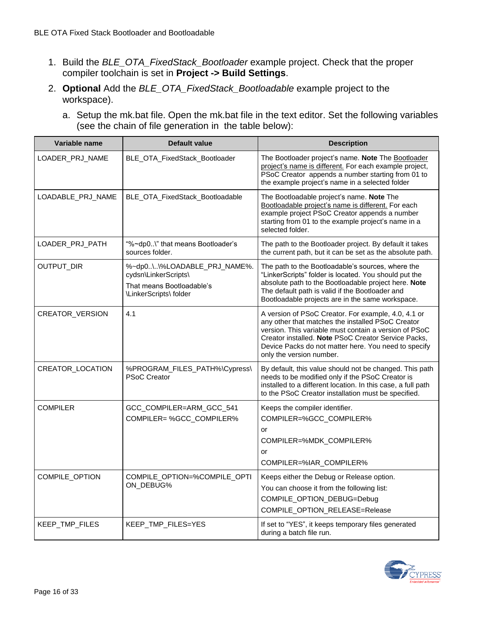- 1. Build the *BLE\_OTA\_FixedStack\_Bootloader* example project. Check that the proper compiler toolchain is set in **Project -> Build Settings**.
- 2. **Optional** Add the *BLE\_OTA\_FixedStack\_Bootloadable* example project to the workspace).
	- a. Setup the mk.bat file. Open the mk.bat file in the text editor. Set the following variables (see the chain of file generation in the table below):

| Variable name         | <b>Default value</b>                                                                                       | <b>Description</b>                                                                                                                                                                                                                                                                                           |
|-----------------------|------------------------------------------------------------------------------------------------------------|--------------------------------------------------------------------------------------------------------------------------------------------------------------------------------------------------------------------------------------------------------------------------------------------------------------|
| LOADER_PRJ_NAME       | BLE_OTA_FixedStack_Bootloader                                                                              | The Bootloader project's name. Note The Bootloader<br>project's name is different. For each example project,<br>PSoC Creator appends a number starting from 01 to<br>the example project's name in a selected folder                                                                                         |
| LOADABLE_PRJ_NAME     | BLE_OTA_FixedStack_Bootloadable                                                                            | The Bootloadable project's name. Note The<br>Bootloadable project's name is different. For each<br>example project PSoC Creator appends a number<br>starting from 01 to the example project's name in a<br>selected folder.                                                                                  |
| LOADER_PRJ_PATH       | "%~dp0\" that means Bootloader's<br>sources folder.                                                        | The path to the Bootloader project. By default it takes<br>the current path, but it can be set as the absolute path.                                                                                                                                                                                         |
| OUTPUT_DIR            | %~dp0\\%LOADABLE_PRJ_NAME%.<br>cydsn\LinkerScripts\<br>That means Bootloadable's<br>\LinkerScripts\ folder | The path to the Bootloadable's sources, where the<br>"LinkerScripts" folder is located. You should put the<br>absolute path to the Bootloadable project here. Note<br>The default path is valid if the Bootloader and<br>Bootloadable projects are in the same workspace.                                    |
| CREATOR_VERSION       | 4.1                                                                                                        | A version of PSoC Creator. For example, 4.0, 4.1 or<br>any other that matches the installed PSoC Creator<br>version. This variable must contain a version of PSoC<br>Creator installed. Note PSoC Creator Service Packs,<br>Device Packs do not matter here. You need to specify<br>only the version number. |
| CREATOR_LOCATION      | %PROGRAM_FILES_PATH%\Cypress\<br><b>PSoC Creator</b>                                                       | By default, this value should not be changed. This path<br>needs to be modified only if the PSoC Creator is<br>installed to a different location. In this case, a full path<br>to the PSoC Creator installation must be specified.                                                                           |
| <b>COMPILER</b>       | GCC_COMPILER=ARM_GCC_541<br>COMPILER=%GCC_COMPILER%                                                        | Keeps the compiler identifier.<br>COMPILER=%GCC_COMPILER%<br>or<br>COMPILER=%MDK_COMPILER%<br>or<br>COMPILER=%IAR COMPILER%                                                                                                                                                                                  |
| <b>COMPILE OPTION</b> | COMPILE_OPTION=%COMPILE_OPTI<br>ON_DEBUG%                                                                  | Keeps either the Debug or Release option.<br>You can choose it from the following list:<br>COMPILE_OPTION_DEBUG=Debug<br>COMPILE_OPTION_RELEASE=Release                                                                                                                                                      |
| KEEP_TMP_FILES        | KEEP_TMP_FILES=YES                                                                                         | If set to "YES", it keeps temporary files generated<br>during a batch file run.                                                                                                                                                                                                                              |

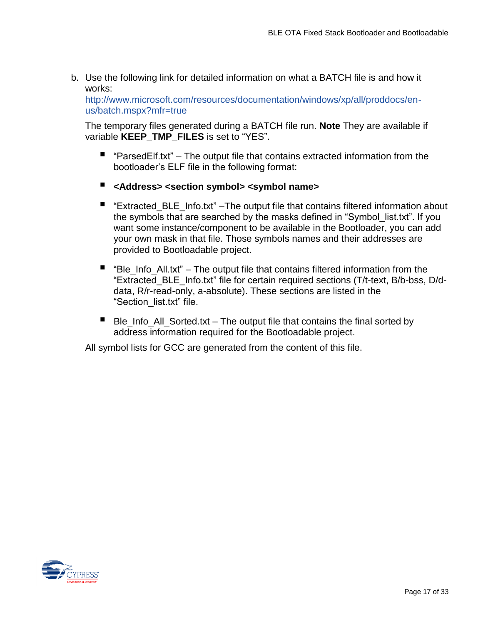b. Use the following link for detailed information on what a BATCH file is and how it works:

[http://www.microsoft.com/resources/documentation/windows/xp/all/proddocs/en](http://www.microsoft.com/resources/documentation/windows/xp/all/proddocs/en-us/batch.mspx?mfr=true)[us/batch.mspx?mfr=true](http://www.microsoft.com/resources/documentation/windows/xp/all/proddocs/en-us/batch.mspx?mfr=true)

The temporary files generated during a BATCH file run. **Note** They are available if variable **KEEP\_TMP\_FILES** is set to "YES".

- $\blacksquare$  "ParsedElf.txt" The output file that contains extracted information from the bootloader's ELF file in the following format:
- **<Address> <section symbol> <symbol name>**
- "Extracted\_BLE\_Info.txt" –The output file that contains filtered information about the symbols that are searched by the masks defined in "Symbol\_list.txt". If you want some instance/component to be available in the Bootloader, you can add your own mask in that file. Those symbols names and their addresses are provided to Bootloadable project.
- $\blacksquare$  "Ble Info All.txt" The output file that contains filtered information from the "Extracted\_BLE\_Info.txt" file for certain required sections (T/t-text, B/b-bss, D/ddata, R/r-read-only, a-absolute). These sections are listed in the "Section\_list.txt" file.
- Ble Info All Sorted.txt The output file that contains the final sorted by address information required for the Bootloadable project.

All symbol lists for GCC are generated from the content of this file.

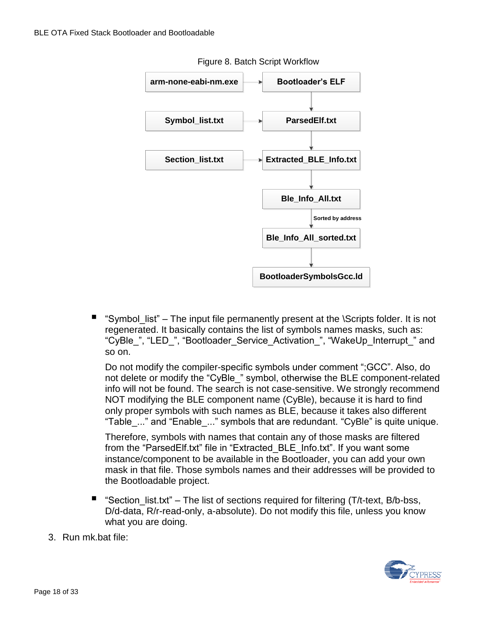

Figure 8. Batch Script Workflow

 "Symbol\_list" – The input file permanently present at the \Scripts folder. It is not regenerated. It basically contains the list of symbols names masks, such as: "CyBle ", "LED ", "Bootloader Service Activation ", "WakeUp Interrupt " and so on.

Do not modify the compiler-specific symbols under comment ";GCC". Also, do not delete or modify the "CyBle\_" symbol, otherwise the BLE component-related info will not be found. The search is not case-sensitive. We strongly recommend NOT modifying the BLE component name (CyBle), because it is hard to find only proper symbols with such names as BLE, because it takes also different "Table\_..." and "Enable\_..." symbols that are redundant. "CyBle" is quite unique.

Therefore, symbols with names that contain any of those masks are filtered from the "ParsedElf.txt" file in "Extracted\_BLE\_Info.txt". If you want some instance/component to be available in the Bootloader, you can add your own mask in that file. Those symbols names and their addresses will be provided to the Bootloadable project.

- **"** "Section list.txt" The list of sections required for filtering (T/t-text, B/b-bss, D/d-data, R/r-read-only, a-absolute). Do not modify this file, unless you know what you are doing.
- 3. Run mk.bat file:

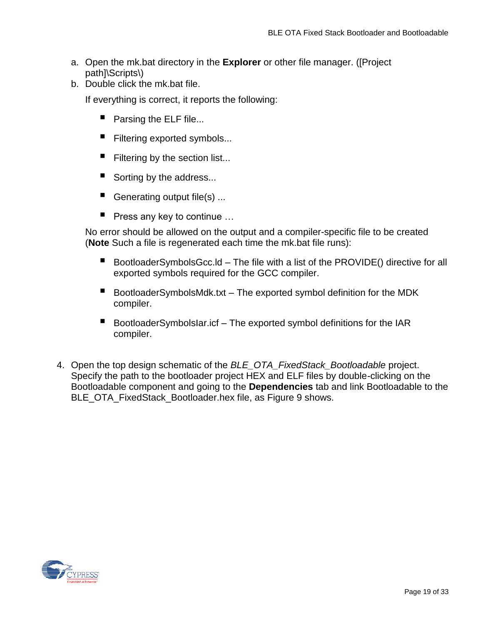- a. Open the mk.bat directory in the **Explorer** or other file manager. ([Project path]\Scripts\)
- b. Double click the mk.bat file.

If everything is correct, it reports the following:

- **Parsing the ELF file...**
- Filtering exported symbols...
- Filtering by the section list...
- Sorting by the address...
- Generating output file(s) ...
- Press any key to continue ...

No error should be allowed on the output and a compiler-specific file to be created (**Note** Such a file is regenerated each time the mk.bat file runs):

- BootloaderSymbolsGcc.ld The file with a list of the PROVIDE() directive for all exported symbols required for the GCC compiler.
- BootloaderSymbolsMdk.txt The exported symbol definition for the MDK compiler.
- BootloaderSymbolsIar.icf The exported symbol definitions for the IAR compiler.
- 4. Open the top design schematic of the *BLE\_OTA\_FixedStack\_Bootloadable* project. Specify the path to the bootloader project HEX and ELF files by double-clicking on the Bootloadable component and going to the **Dependencies** tab and link Bootloadable to the BLE\_OTA\_FixedStack\_Bootloader.hex file, as [Figure 9](#page-19-0) shows.

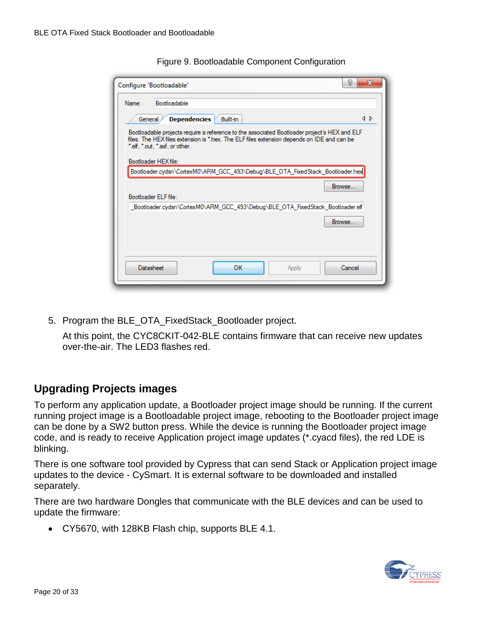<span id="page-19-0"></span>

| P<br>Configure 'Bootloadable'                                                                                                                                                                                                                        | $\overline{\mathbf{x}}$ |
|------------------------------------------------------------------------------------------------------------------------------------------------------------------------------------------------------------------------------------------------------|-------------------------|
| Bootloadable<br>Name:                                                                                                                                                                                                                                |                         |
| <b>Dependencies</b><br>Built-in<br>General                                                                                                                                                                                                           | ⊲ ⊳                     |
| Bootloadable projects require a reference to the associated Bootloader project's HEX and ELF<br>files. The HEX files extension is *.hex. The ELF files extension depends on IDE and can be<br>".elf. ".out. ".axf. or other.<br>Bootloader HEX file: |                         |
| Bootloader.cydsn\CortexM0\ARM_GCC_493\Debug\BLE_OTA_FixedStack_Bootloader.hex                                                                                                                                                                        |                         |
| Browse<br>Bootloader ELF file:                                                                                                                                                                                                                       |                         |
| _Bootloader.cydsn\CortexM0\ARM_GCC_493\Debug\BLE_OTA_FixedStack_Bootloader.elf                                                                                                                                                                       |                         |
| Browse                                                                                                                                                                                                                                               |                         |
| <b>Datasheet</b><br>ОК<br>Cancel<br>Apply                                                                                                                                                                                                            |                         |

Figure 9. Bootloadable Component Configuration

5. Program the BLE\_OTA\_FixedStack\_Bootloader project.

At this point, the CYC8CKIT-042-BLE contains firmware that can receive new updates over-the-air. The LED3 flashes red.

#### **Upgrading Projects images**

To perform any application update, a Bootloader project image should be running. If the current running project image is a Bootloadable project image, rebooting to the Bootloader project image can be done by a SW2 button press. While the device is running the Bootloader project image code, and is ready to receive Application project image updates (\*.cyacd files), the red LDE is blinking.

There is one software tool provided by Cypress that can send Stack or Application project image updates to the device - CySmart. It is external software to be downloaded and installed separately.

There are two hardware Dongles that communicate with the BLE devices and can be used to update the firmware:

CY5670, with 128KB Flash chip, supports BLE 4.1.

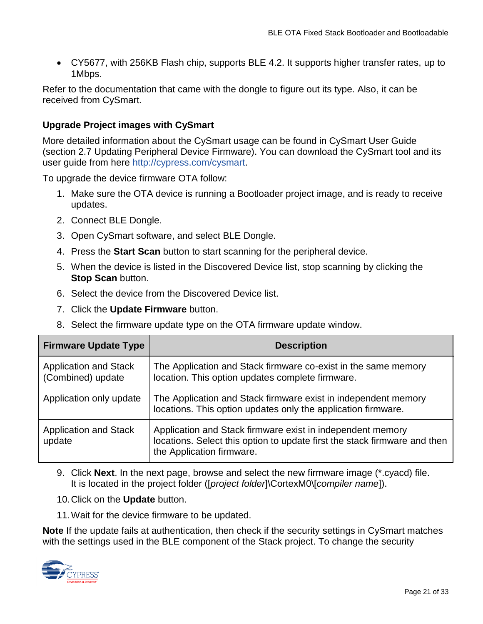CY5677, with 256KB Flash chip, supports BLE 4.2. It supports higher transfer rates, up to 1Mbps.

Refer to the documentation that came with the dongle to figure out its type. Also, it can be received from CySmart.

#### **Upgrade Project images with CySmart**

More detailed information about the CySmart usage can be found in CySmart User Guide (section 2.7 Updating Peripheral Device Firmware). You can download the CySmart tool and its user guide from here [http://cypress.com/cysmart.](http://cypress.com/cysmart)

To upgrade the device firmware OTA follow:

- 1. Make sure the OTA device is running a Bootloader project image, and is ready to receive updates.
- 2. Connect BLE Dongle.
- 3. Open CySmart software, and select BLE Dongle.
- 4. Press the **Start Scan** button to start scanning for the peripheral device.
- 5. When the device is listed in the Discovered Device list, stop scanning by clicking the **Stop Scan** button.
- 6. Select the device from the Discovered Device list.
- 7. Click the **Update Firmware** button.
- 8. Select the firmware update type on the OTA firmware update window.

| <b>Firmware Update Type</b>                       | <b>Description</b>                                                                                                                                                   |
|---------------------------------------------------|----------------------------------------------------------------------------------------------------------------------------------------------------------------------|
| <b>Application and Stack</b><br>(Combined) update | The Application and Stack firmware co-exist in the same memory<br>location. This option updates complete firmware.                                                   |
| Application only update                           | The Application and Stack firmware exist in independent memory<br>locations. This option updates only the application firmware.                                      |
| <b>Application and Stack</b><br>update            | Application and Stack firmware exist in independent memory<br>locations. Select this option to update first the stack firmware and then<br>the Application firmware. |

- 9. Click **Next**. In the next page, browse and select the new firmware image (\*.cyacd) file. It is located in the project folder ([*project folder*]\CortexM0\[*compiler name*]).
- 10.Click on the **Update** button.
- 11.Wait for the device firmware to be updated.

**Note** If the update fails at authentication, then check if the security settings in CySmart matches with the settings used in the BLE component of the Stack project. To change the security

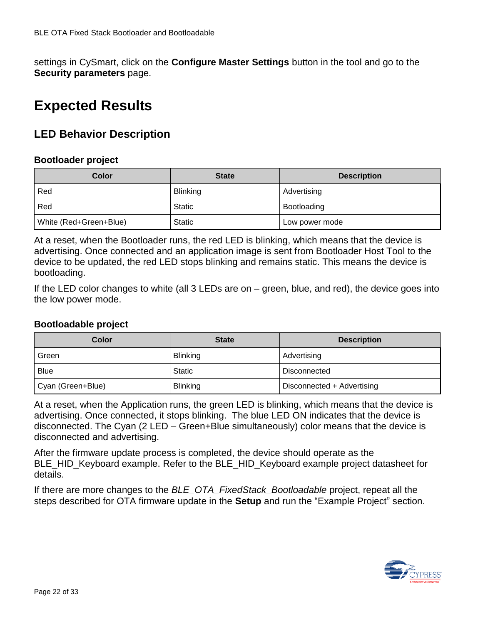settings in CySmart, click on the **Configure Master Settings** button in the tool and go to the **Security parameters** page.

# **Expected Results**

### **LED Behavior Description**

#### **Bootloader project**

| Color                  | <b>State</b>    | <b>Description</b> |
|------------------------|-----------------|--------------------|
| Red                    | <b>Blinking</b> | Advertising        |
| Red                    | <b>Static</b>   | Bootloading        |
| White (Red+Green+Blue) | <b>Static</b>   | Low power mode     |

At a reset, when the Bootloader runs, the red LED is blinking, which means that the device is advertising. Once connected and an application image is sent from Bootloader Host Tool to the device to be updated, the red LED stops blinking and remains static. This means the device is bootloading.

If the LED color changes to white (all 3 LEDs are on – green, blue, and red), the device goes into the low power mode.

#### **Bootloadable project**

| Color             | <b>State</b>    | <b>Description</b>         |
|-------------------|-----------------|----------------------------|
| Green             | <b>Blinking</b> | Advertising                |
| <b>Blue</b>       | <b>Static</b>   | Disconnected               |
| Cyan (Green+Blue) | <b>Blinking</b> | Disconnected + Advertising |

At a reset, when the Application runs, the green LED is blinking, which means that the device is advertising. Once connected, it stops blinking. The blue LED ON indicates that the device is disconnected. The Cyan (2 LED – Green+Blue simultaneously) color means that the device is disconnected and advertising.

After the firmware update process is completed, the device should operate as the BLE\_HID\_Keyboard example. Refer to the BLE\_HID\_Keyboard example project datasheet for details.

If there are more changes to the *BLE\_OTA\_FixedStack\_Bootloadable* project, repeat all the steps described for OTA firmware update in the **Setup** and run the "Example Project" section.

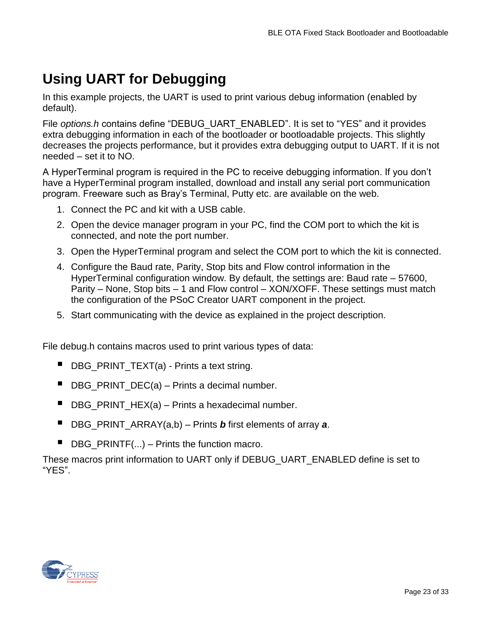# <span id="page-22-0"></span>**Using UART for Debugging**

In this example projects, the UART is used to print various debug information (enabled by default).

File *options.h* contains define "DEBUG\_UART\_ENABLED". It is set to "YES" and it provides extra debugging information in each of the bootloader or bootloadable projects. This slightly decreases the projects performance, but it provides extra debugging output to UART. If it is not needed – set it to NO.

A HyperTerminal program is required in the PC to receive debugging information. If you don't have a HyperTerminal program installed, download and install any serial port communication program. Freeware such as Bray's Terminal, Putty etc. are available on the web.

- 1. Connect the PC and kit with a USB cable.
- 2. Open the device manager program in your PC, find the COM port to which the kit is connected, and note the port number.
- 3. Open the HyperTerminal program and select the COM port to which the kit is connected.
- 4. Configure the Baud rate, Parity, Stop bits and Flow control information in the HyperTerminal configuration window. By default, the settings are: Baud rate – 57600, Parity – None, Stop bits – 1 and Flow control – XON/XOFF. These settings must match the configuration of the PSoC Creator UART component in the project.
- 5. Start communicating with the device as explained in the project description.

File debug.h contains macros used to print various types of data:

- DBG\_PRINT\_TEXT(a) Prints a text string.
- $\blacksquare$  DBG\_PRINT\_DEC(a) Prints a decimal number.
- $\blacksquare$  DBG\_PRINT\_HEX(a) Prints a hexadecimal number.
- DBG\_PRINT\_ARRAY(a,b) Prints *b* first elements of array **a**.
- $\blacksquare$  DBG PRINTF(...) Prints the function macro.

These macros print information to UART only if DEBUG\_UART\_ENABLED define is set to "YES".

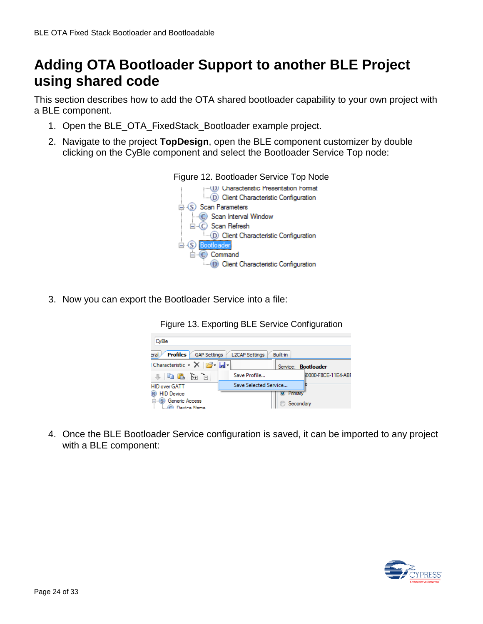# **Adding OTA Bootloader Support to another BLE Project using shared code**

This section describes how to add the OTA shared bootloader capability to your own project with a BLE component.

- 1. Open the BLE\_OTA\_FixedStack\_Bootloader example project.
- 2. Navigate to the project **TopDesign**, open the BLE component customizer by double clicking on the CyBle component and select the Bootloader Service Top node:



3. Now you can export the Bootloader Service into a file:

Figure 13. Exporting BLE Service Configuration



4. Once the BLE Bootloader Service configuration is saved, it can be imported to any project with a BLE component:

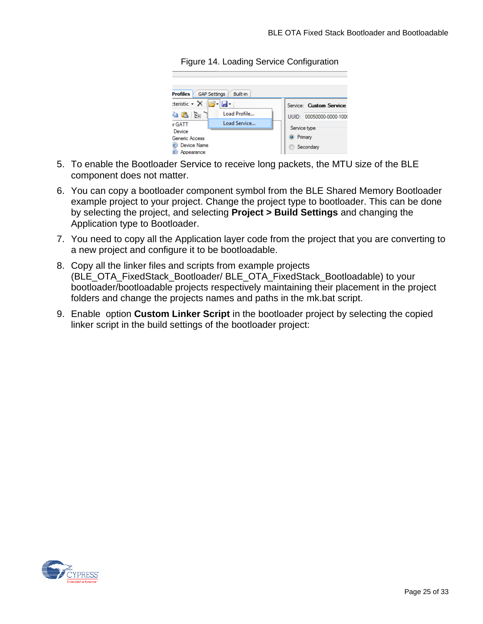**Profiles** GAP Settings Built-in teristic - X **B** -Service: Custom Service Load Profile... a Baile 1 UUID: 00050000-0000-1000 Load Service... r GATT Service type Device <sup>O</sup> Primary Generic Access C Device Name Secondary C Appearance

Figure 14. Loading Service Configuration

- 5. To enable the Bootloader Service to receive long packets, the MTU size of the BLE component does not matter.
- 6. You can copy a bootloader component symbol from the BLE Shared Memory Bootloader example project to your project. Change the project type to bootloader. This can be done by selecting the project, and selecting **Project > Build Settings** and changing the Application type to Bootloader.
- 7. You need to copy all the Application layer code from the project that you are converting to a new project and configure it to be bootloadable.
- 8. Copy all the linker files and scripts from example projects (BLE\_OTA\_FixedStack\_Bootloader/ BLE\_OTA\_FixedStack\_Bootloadable) to your bootloader/bootloadable projects respectively maintaining their placement in the project folders and change the projects names and paths in the mk.bat script.
- 9. Enable option **Custom Linker Script** in the bootloader project by selecting the copied linker script in the build settings of the bootloader project:

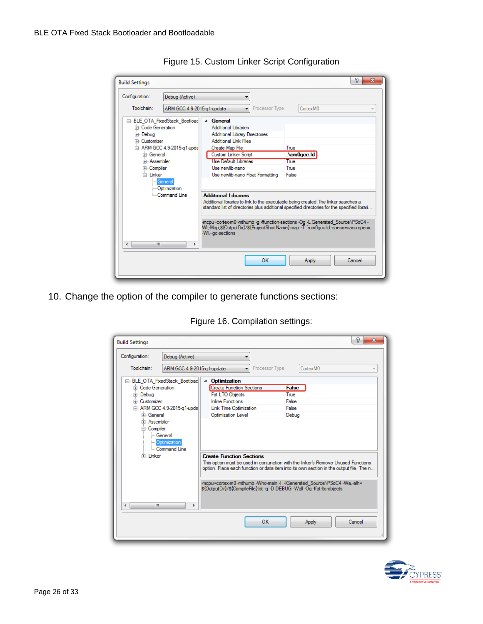| Configuration:             | Debug (Active)                 | ▼                                                                                   |                                                                                                                                                            |
|----------------------------|--------------------------------|-------------------------------------------------------------------------------------|------------------------------------------------------------------------------------------------------------------------------------------------------------|
| Toolchain:                 | ARM GCC 4.9-2015-a1-update     | Processor Type<br>▾∣                                                                | Cortex <sub>M0</sub>                                                                                                                                       |
|                            | E- BLE OTA FixedStack Bootload | 4 General                                                                           |                                                                                                                                                            |
| <b>E.</b> Code Generation  |                                | <b>Additional Libraries</b>                                                         |                                                                                                                                                            |
| in Debua                   |                                | <b>Additional Library Directories</b>                                               |                                                                                                                                                            |
| Fi-Customizer              |                                | <b>Additional Link Files</b>                                                        |                                                                                                                                                            |
| 白 ARM GCC 4.9-2015-g1-upda |                                | Create Map File                                                                     | True                                                                                                                                                       |
| <b>E</b> -General          |                                | <b>Custom Linker Script</b>                                                         | $\Lambda$ cm $0$ qcc $\Lambda$ d                                                                                                                           |
| <b>E</b> -Assembler        |                                | <b>Use Default Libraries</b>                                                        | True                                                                                                                                                       |
| E Compiler                 |                                | Use newlib-nano                                                                     | True                                                                                                                                                       |
| <b>⊟</b> -Linker           |                                | Use newlib-nano Float Formatting                                                    | False                                                                                                                                                      |
|                            | General                        |                                                                                     |                                                                                                                                                            |
|                            | - Optimization                 |                                                                                     |                                                                                                                                                            |
|                            | Command Line                   | <b>Additional Libraries</b>                                                         |                                                                                                                                                            |
|                            |                                | Additional libraries to link to the executable being created. The linker searches a | standard list of directories plus additional specified directories for the specified librari                                                               |
|                            |                                | -WI .-- ac-sections                                                                 | -mcpu=cortex-m0-mthumb-g-ffunction-sections-Og-L Generated Source\PSoC4-<br>WI.-Map.\${OutputDir}/\${ProjectShortName}.map -T.\cm0gcc.ld -specs=nano.specs |
| ٠                          | m.<br>k                        |                                                                                     |                                                                                                                                                            |
|                            |                                |                                                                                     |                                                                                                                                                            |

Figure 15. Custom Linker Script Configuration

10. Change the option of the compiler to generate functions sections:

| Configuration:                                                                                                                                                                               | Debug (Active)                |                                                                                                              |                                                                                                                                                                                                                                                          |
|----------------------------------------------------------------------------------------------------------------------------------------------------------------------------------------------|-------------------------------|--------------------------------------------------------------------------------------------------------------|----------------------------------------------------------------------------------------------------------------------------------------------------------------------------------------------------------------------------------------------------------|
| Toolchain:                                                                                                                                                                                   | ARM GCC 4.9-2015-g1-update    | Rocessor Type                                                                                                | Cortex <sub>M0</sub>                                                                                                                                                                                                                                     |
|                                                                                                                                                                                              | E BLE OTA FixedStack Bootload | <b>Optimization</b><br>◢                                                                                     |                                                                                                                                                                                                                                                          |
| Fi-Code Generation                                                                                                                                                                           |                               | <b>Create Function Sections</b>                                                                              | <b>False</b>                                                                                                                                                                                                                                             |
| E Debua<br><b>E</b> -Customizer<br>□ ARM GCC 4.9-2015-a1-upda<br><b>E</b> General<br><b>E.</b> Assembler<br><b>⊟</b> Compiler<br><b>General</b><br>Dotimization<br>Command Line<br>Fi-Linker |                               | Fat LTO Objects                                                                                              | True                                                                                                                                                                                                                                                     |
|                                                                                                                                                                                              |                               | <b>Inline Functions</b>                                                                                      | False                                                                                                                                                                                                                                                    |
|                                                                                                                                                                                              |                               | Link Time Optimization                                                                                       | False                                                                                                                                                                                                                                                    |
|                                                                                                                                                                                              |                               | Optimization Level                                                                                           | Debug                                                                                                                                                                                                                                                    |
|                                                                                                                                                                                              |                               | <b>Create Function Sections</b><br>\${OutputDir}/\${CompileFile}.lst -q -D DEBUG -Wall -Oq -ffat-lto-objects | This option must be used in conjunction with the linker's Remove Unused Functions<br>option. Place each function or data item into its own section in the output file. The n<br>-mcpu=cortex-m0 -mthumb -Wno-main -I. -IGenerated Source\PSoC4 -Wa,-alh= |
|                                                                                                                                                                                              |                               |                                                                                                              |                                                                                                                                                                                                                                                          |
| Ш<br>∢                                                                                                                                                                                       | k                             |                                                                                                              |                                                                                                                                                                                                                                                          |

Figure 16. Compilation settings:

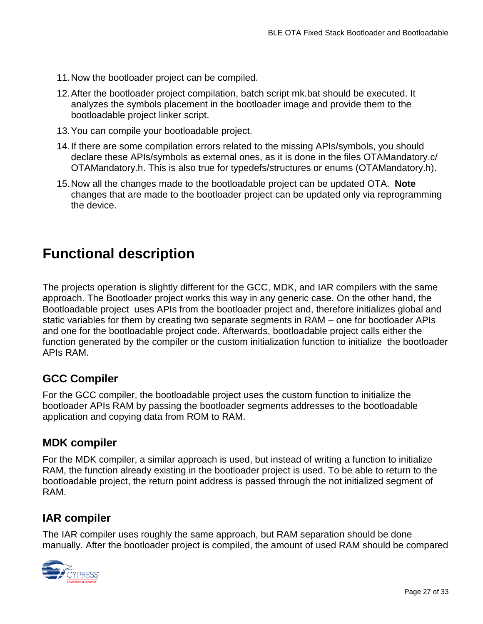- 11.Now the bootloader project can be compiled.
- 12.After the bootloader project compilation, batch script mk.bat should be executed. It analyzes the symbols placement in the bootloader image and provide them to the bootloadable project linker script.
- 13.You can compile your bootloadable project.
- 14.If there are some compilation errors related to the missing APIs/symbols, you should declare these APIs/symbols as external ones, as it is done in the files OTAMandatory.c/ OTAMandatory.h. This is also true for typedefs/structures or enums (OTAMandatory.h).
- 15.Now all the changes made to the bootloadable project can be updated OTA. **Note**  changes that are made to the bootloader project can be updated only via reprogramming the device.

## **Functional description**

The projects operation is slightly different for the GCC, MDK, and IAR compilers with the same approach. The Bootloader project works this way in any generic case. On the other hand, the Bootloadable project uses APIs from the bootloader project and, therefore initializes global and static variables for them by creating two separate segments in RAM – one for bootloader APIs and one for the bootloadable project code. Afterwards, bootloadable project calls either the function generated by the compiler or the custom initialization function to initialize the bootloader APIs RAM.

### **GCC Compiler**

For the GCC compiler, the bootloadable project uses the custom function to initialize the bootloader APIs RAM by passing the bootloader segments addresses to the bootloadable application and copying data from ROM to RAM.

#### **MDK compiler**

For the MDK compiler, a similar approach is used, but instead of writing a function to initialize RAM, the function already existing in the bootloader project is used. To be able to return to the bootloadable project, the return point address is passed through the not initialized segment of RAM.

#### **IAR compiler**

The IAR compiler uses roughly the same approach, but RAM separation should be done manually. After the bootloader project is compiled, the amount of used RAM should be compared

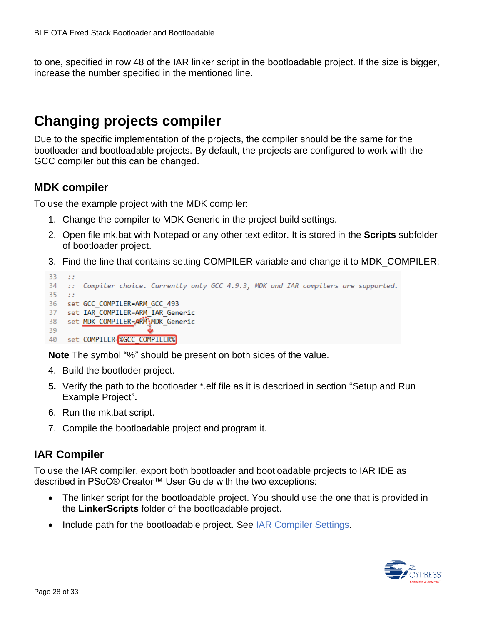to one, specified in row 48 of the IAR linker script in the bootloadable project. If the size is bigger, increase the number specified in the mentioned line.

# <span id="page-27-0"></span>**Changing projects compiler**

Due to the specific implementation of the projects, the compiler should be the same for the bootloader and bootloadable projects. By default, the projects are configured to work with the GCC compiler but this can be changed.

#### **MDK compiler**

To use the example project with the MDK compiler:

- 1. Change the compiler to MDK Generic in the project build settings.
- 2. Open file mk.bat with Notepad or any other text editor. It is stored in the **Scripts** subfolder of bootloader project.
- 3. Find the line that contains setting COMPILER variable and change it to MDK\_COMPILER:

```
33 : 3234 :: Compiler choice. Currently only GCC 4.9.3, MDK and IAR compilers are supported.
35 - z:
36 set GCC_COMPILER=ARM_GCC_493
37<sup>2</sup>set IAR_COMPILER=ARM_IAR_Generic
   set MDK COMPILER=ARM\MDK Generic
38
39
40
   set COMPILER=%GCC COMPILER%
```
**Note** The symbol "%" should be present on both sides of the value.

- 4. Build the bootloder project.
- **5.** Verify the path to the bootloader \*.elf file as it is described in section ["Setup and Run](#page-14-0)  [Example Project"](#page-14-0)**.**
- 6. Run the mk.bat script.
- 7. Compile the bootloadable project and program it.

### **IAR Compiler**

To use the IAR compiler, export both bootloader and bootloadable projects to IAR IDE as described in PSoC® Creator™ User Guide with the two exceptions:

- The linker script for the bootloadable project. You should use the one that is provided in the **LinkerScripts** folder of the bootloadable project.
- Include path for the bootloadable project. See [IAR Compiler Settings.](#page-10-0)

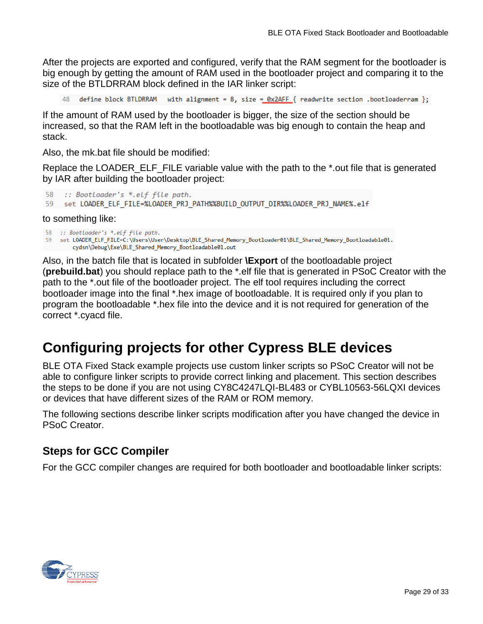After the projects are exported and configured, verify that the RAM segment for the bootloader is big enough by getting the amount of RAM used in the bootloader project and comparing it to the size of the BTLDRRAM block defined in the IAR linker script:

define block BTLDRRAM with alignment = 8, size =  $0x2AFF$  { readwrite section .bootloaderram };

If the amount of RAM used by the bootloader is bigger, the size of the section should be increased, so that the RAM left in the bootloadable was big enough to contain the heap and stack.

Also, the mk.bat file should be modified:

Replace the LOADER\_ELF\_FILE variable value with the path to the \*.out file that is generated by IAR after building the bootloader project:

```
58 :: Bootloader's *.elf file path.
59 set LOADER_ELF_FILE=%LOADER_PRJ_PATH%%BUILD_OUTPUT_DIR%%LOADER_PRJ_NAME%.elf
```
to something like:

```
58 :: Bootloader's *.elf file path.
```
59 set LOADER\_ELF\_FILE=C:\Users\User\Desktop\BLE\_Shared\_Memory\_Bootloader01\BLE\_Shared\_Memory\_Bootloadable01. cydsn\Debug\Exe\BLE\_Shared\_Memory\_Bootloadable01.out

Also, in the batch file that is located in subfolder **\Export** of the bootloadable project (**prebuild.bat**) you should replace path to the \*.elf file that is generated in PSoC Creator with the path to the \*.out file of the bootloader project. The elf tool requires including the correct bootloader image into the final \*.hex image of bootloadable. It is required only if you plan to program the bootloadable \*.hex file into the device and it is not required for generation of the correct \*.cyacd file.

# **Configuring projects for other Cypress BLE devices**

BLE OTA Fixed Stack example projects use custom linker scripts so PSoC Creator will not be able to configure linker scripts to provide correct linking and placement. This section describes the steps to be done if you are not using CY8C4247LQI-BL483 or CYBL10563-56LQXI devices or devices that have different sizes of the RAM or ROM memory.

The following sections describe linker scripts modification after you have changed the device in PSoC Creator.

#### **Steps for GCC Compiler**

For the GCC compiler changes are required for both bootloader and bootloadable linker scripts:

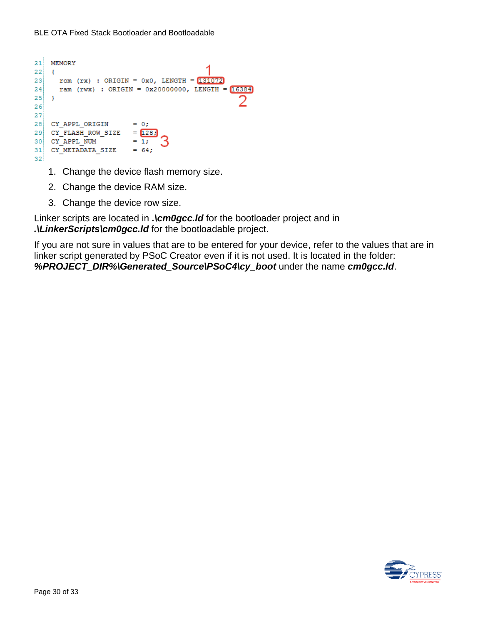```
21 MEMORY
22 {
   rom (rx) : ORIGIN = 0x0, LENGTH = 1310722324ram (rwx) : ORIGIN = 0x20000000, LENGTH = 1638425 \rightarrow\mathcal{D}2627<sup>1</sup>= 0;28 CY APPL ORIGIN
29 CY FLASH ROW SIZE = 1283
30 CY APPL NUM
                      = 1;
31CY METADATA SIZE = 64;
32
```
- 1. Change the device flash memory size.
- 2. Change the device RAM size.
- 3. Change the device row size.

Linker scripts are located in . **\cm0gcc.Id** for the bootloader project and in *.\LinkerScripts\cm0gcc.ld* for the bootloadable project.

If you are not sure in values that are to be entered for your device, refer to the values that are in linker script generated by PSoC Creator even if it is not used. It is located in the folder: *%PROJECT\_DIR%\Generated\_Source\PSoC4\cy\_boot* under the name *cm0gcc.ld*.

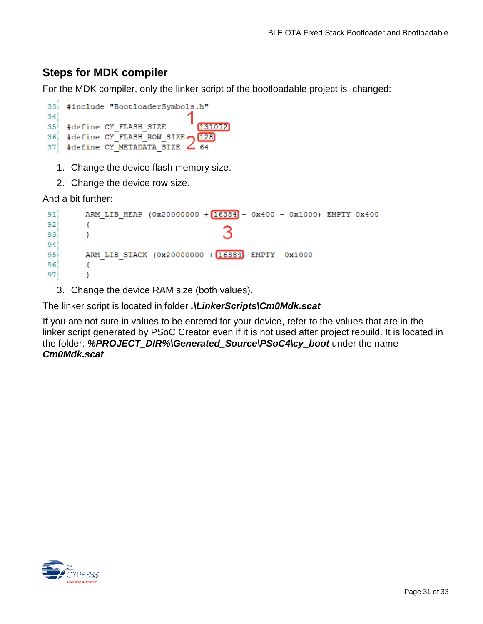## **Steps for MDK compiler**

For the MDK compiler, only the linker script of the bootloadable project is changed:

```
33<sup>1</sup>#include "BootloaderSymbols.h"
3435<sub>1</sub>#define CY FLASH SIZE
                                     131072
    #define CY_FLASH_ROW_SIZE (128)
36.
37 #define CY METADATA SIZE \angle 64
```
1. Change the device flash memory size.

2. Change the device row size.

And a bit further:

```
91
        ARM LIB HEAP (0x20000000 + 16384) - 0x400 - 0x1000) EMPTY 0x400
92
        €
93
        Y
94
95
        ARM LIB STACK (0x20000000 + 16384) EMPTY -0x1000
96
        Ł
97
        Y
```
3. Change the device RAM size (both values).

The linker script is located in folder *.\LinkerScripts\Cm0Mdk.scat*

If you are not sure in values to be entered for your device, refer to the values that are in the linker script generated by PSoC Creator even if it is not used after project rebuild. It is located in the folder: *%PROJECT\_DIR%\Generated\_Source\PSoC4\cy\_boot* under the name *Cm0Mdk.scat*.

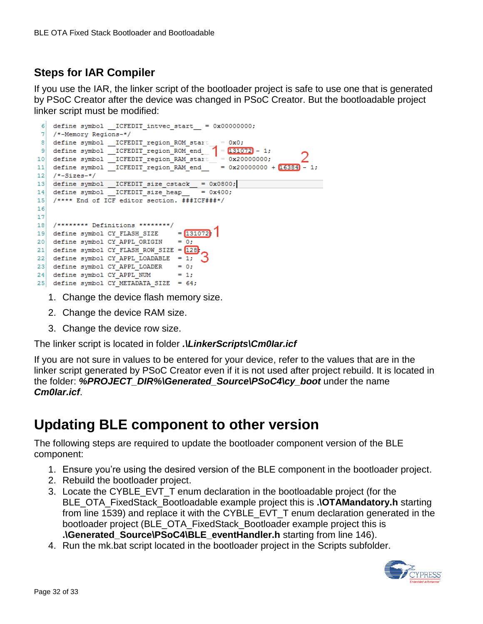## **Steps for IAR Compiler**

If you use the IAR, the linker script of the bootloader project is safe to use one that is generated by PSoC Creator after the device was changed in PSoC Creator. But the bootloadable project linker script must be modified:

```
6 define symbol ICFEDIT intvec start = 0x00000000;
 7 /*-Memory Regions-*/
10 define symbol \overline{\text{ICFEDIT\_region\_RAM\_start\_}} = 0x20000000;<br>11 define symbol \overline{\text{ICFEDIT\_region\_RAM\_end\_}} = 0x20000000 + \frac{2}{16384} - 1;
12 /*-Sizes-*/13 define symbol __ICFEDIT_size_cstack__ = 0x0800;
14 define symbol ICFEDIT size heap
                                          = 0x40015 /**** End of ICF editor section. ###ICF###*/
1617
18 /******** Definitions ********/
19 define symbol CY_FLASH_SIZE = 13107220 \quad \text{define symbol } CY\_APPLL_ORIGIN = 0;21 define symbol CY\_FLASH\_ROW\_SIZE = 12822 define symbol CY APPL LOADABLE = 1;
23 define symbol CY_APPL_LOADER = 0;
24 define symbol CY APPL NUM
                                     = 125 define symbol CY METADATA SIZE = 64;
```
- 1. Change the device flash memory size.
- 2. Change the device RAM size.
- 3. Change the device row size.

The linker script is located in folder *.\LinkerScripts\Cm0Iar.icf*

If you are not sure in values to be entered for your device, refer to the values that are in the linker script generated by PSoC Creator even if it is not used after project rebuild. It is located in the folder: *%PROJECT\_DIR%\Generated\_Source\PSoC4\cy\_boot* under the name *Cm0Iar.icf*.

# **Updating BLE component to other version**

The following steps are required to update the bootloader component version of the BLE component:

- 1. Ensure you're using the desired version of the BLE component in the bootloader project.
- 2. Rebuild the bootloader project.
- 3. Locate the CYBLE\_EVT\_T enum declaration in the bootloadable project (for the BLE\_OTA\_FixedStack\_Bootloadable example project this is **.\OTAMandatory.h** starting from line 1539) and replace it with the CYBLE\_EVT\_T enum declaration generated in the bootloader project (BLE\_OTA\_FixedStack\_Bootloader example project this is **.\Generated\_Source\PSoC4\BLE\_eventHandler.h** starting from line 146).
- 4. Run the mk.bat script located in the bootloader project in the Scripts subfolder.